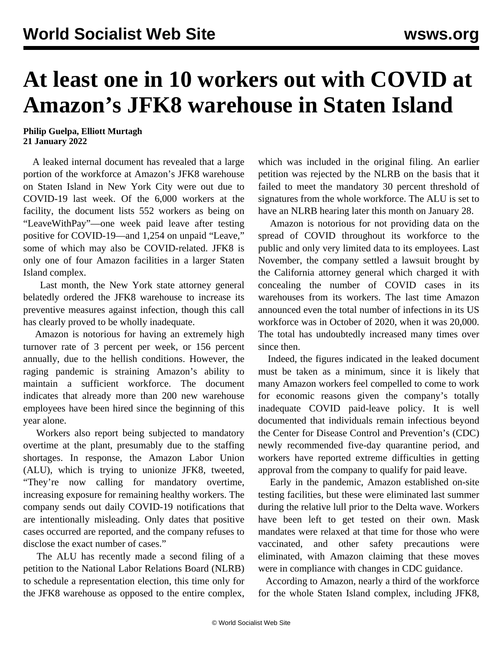## **At least one in 10 workers out with COVID at Amazon's JFK8 warehouse in Staten Island**

**Philip Guelpa, Elliott Murtagh 21 January 2022**

 A leaked internal document has revealed that a large portion of the workforce at Amazon's JFK8 warehouse on Staten Island in New York City were out due to COVID-19 last week. Of the 6,000 workers at the facility, the document lists 552 workers as being on "LeaveWithPay"—one week paid leave after testing positive for COVID-19—and 1,254 on unpaid "Leave," some of which may also be COVID-related. JFK8 is only one of four Amazon facilities in a larger Staten Island complex.

 Last month, the New York state attorney general belatedly [ordered](/en/articles/2021/12/07/amaz-d07.html) the JFK8 warehouse to increase its preventive measures against infection, though this call has clearly proved to be wholly inadequate.

 Amazon is notorious for having an extremely high turnover rate of 3 percent per week, or 156 percent annually, due to the hellish conditions. However, the raging pandemic is straining Amazon's ability to maintain a sufficient workforce. The document indicates that already more than 200 new warehouse employees have been hired since the beginning of this year alone.

 Workers also report being subjected to mandatory overtime at the plant, presumably due to the staffing shortages. In response, the Amazon Labor Union (ALU), which is trying to unionize JFK8, tweeted, "They're now calling for mandatory overtime, increasing exposure for remaining healthy workers. The company sends out daily COVID-19 notifications that are intentionally misleading. Only dates that positive cases occurred are reported, and the company refuses to disclose the exact number of cases."

 The ALU has recently made a second filing of a petition to the National Labor Relations Board (NLRB) to schedule a representation election, this time only for the JFK8 warehouse as opposed to the entire complex,

which was included in the original filing. An earlier petition was rejected by the NLRB on the basis that it failed to meet the mandatory 30 percent threshold of signatures from the whole workforce. The ALU is set to have an NLRB hearing later this month on January 28.

 Amazon is notorious for not providing data on the spread of COVID throughout its workforce to the public and only very limited data to its employees. Last November, the company settled a lawsuit brought by the California attorney general which charged it with concealing the number of COVID cases in its warehouses from its workers. The last time Amazon announced even the total number of infections in its US workforce was in October of 2020, when it was 20,000. The total has undoubtedly increased many times over since then.

 Indeed, the figures indicated in the leaked document must be taken as a minimum, since it is likely that many Amazon workers feel compelled to come to work for economic reasons given the company's totally inadequate COVID paid-leave policy. It is well documented that individuals remain infectious beyond the Center for Disease Control and Prevention's (CDC) newly recommended five-day quarantine period, and workers have reported extreme difficulties in getting approval from the company to qualify for paid leave.

 Early in the pandemic, Amazon established on-site testing facilities, but these were eliminated last summer during the relative lull prior to the Delta wave. Workers have been left to get tested on their own. Mask mandates were relaxed at that time for those who were vaccinated, and other safety precautions were eliminated, with Amazon claiming that these moves were in compliance with changes in CDC guidance.

 According to Amazon, nearly a third of the workforce for the whole Staten Island complex, including JFK8,